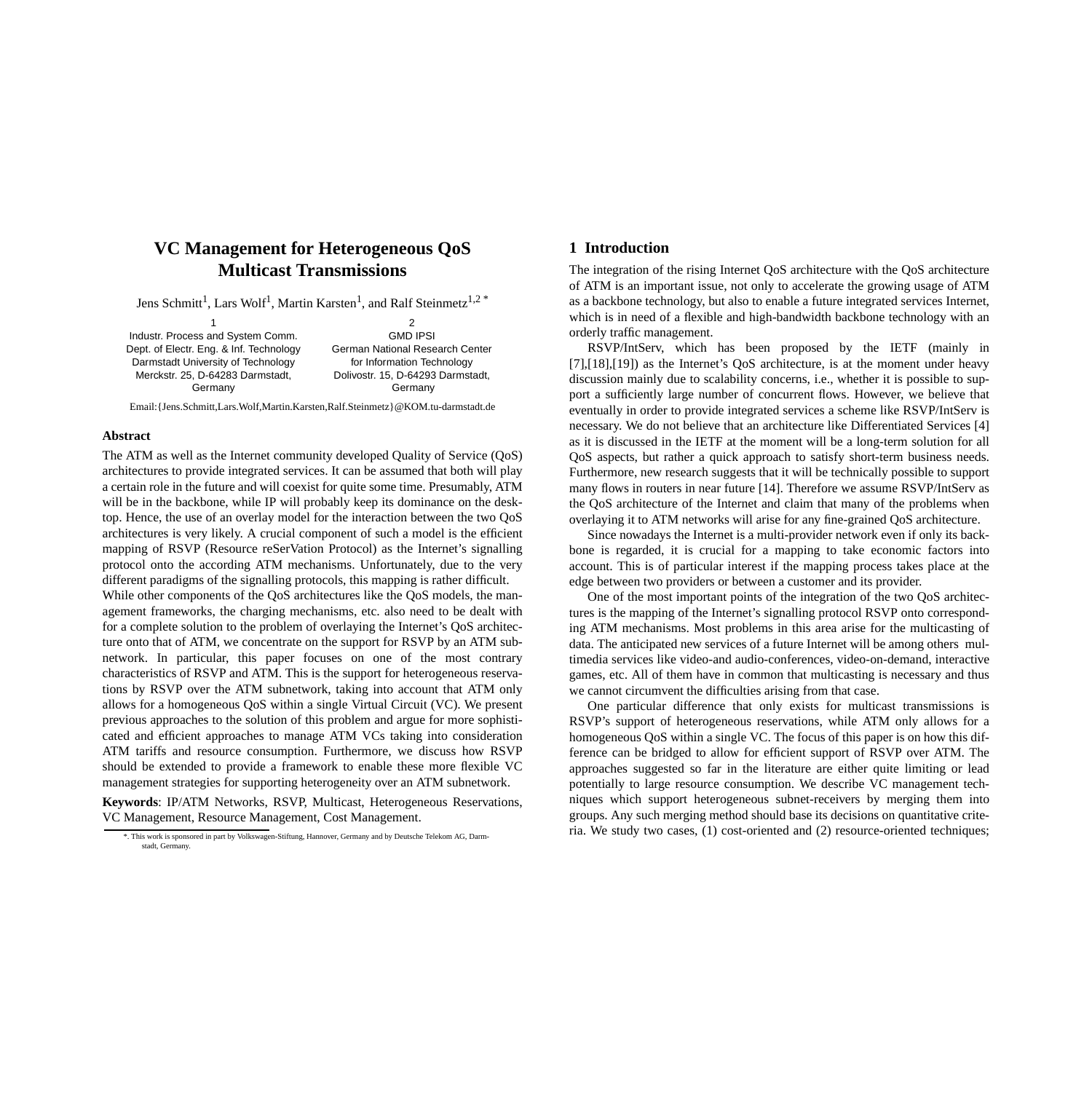# **VC Management for Heterogeneous QoS Multicast Transmissions**

Jens Schmitt<sup>1</sup>, Lars Wolf<sup>1</sup>, Martin Karsten<sup>1</sup>, and Ralf Steinmetz<sup>1,2\*</sup>

| Industr. Process and System Comm.       | <b>GMD IPSI</b>                        |
|-----------------------------------------|----------------------------------------|
| Dept. of Electr. Eng. & Inf. Technology | <b>German National Research Center</b> |
| Darmstadt University of Technology      | for Information Technology             |
| Merckstr. 25, D-64283 Darmstadt,        | Dolivostr. 15, D-64293 Darmstadt,      |
| Germany                                 | Germany                                |

Email:{Jens.Schmitt,Lars.Wolf,Martin.Karsten,Ralf.Steinmetz}@KOM.tu-darmstadt.de

#### **Abstract**

The ATM as well as the Internet community developed Quality of Service (QoS) architectures to provide integrated services. It can be assumed that both will play <sup>a</sup> certain role in the future and will coexist for quite some time. Presumably, ATM will be in the backbone, while IP will probably keep its dominance on the desktop. Hence, the use of an overlay model for the interaction between the two QoS architectures is very likely. A crucial componen<sup>t</sup> of such <sup>a</sup> model is the efficient mapping of RSVP (Resource reSerVation Protocol) as the Internet's signalling protocol onto the according ATM mechanisms. Unfortunately, due to the very different paradigms of the signalling protocols, this mapping is rather difficult.

While other components of the QoS architectures like the QoS models, the managemen<sup>t</sup> frameworks, the charging mechanisms, etc. also need to be dealt with for <sup>a</sup> complete solution to the problem of overlaying the Internet's QoS architecture onto that of ATM, we concentrate on the suppor<sup>t</sup> for RSVP by an ATM subnetwork. In particular, this paper focuses on one of the most contrary characteristics of RSVP and ATM. This is the suppor<sup>t</sup> for heterogeneous reservations by RSVP over the ATM subnetwork, taking into account that ATM only allows for <sup>a</sup> homogeneous QoS within <sup>a</sup> single Virtual Circuit (VC). We presen<sup>t</sup> previous approaches to the solution of this problem and argue for more sophisticated and efficient approaches to manage ATM VCs taking into consideration ATM tariffs and resource consumption. Furthermore, we discuss how RSVP should be extended to provide <sup>a</sup> framework to enable these more flexible VC management strategies for supporting heterogeneity over an ATM subnetwork.

**Keywords**: IP/ATM Networks, RSVP, Multicast, Heterogeneous Reservations, VC Management, Resource Management, Cost Management.

## **1 Introduction**

The integration of the rising Internet QoS architecture with the QoS architecture of ATM is an important issue, not only to accelerate the growing usage of ATM as <sup>a</sup> backbone technology, but also to enable <sup>a</sup> future integrated services Internet, which is in need of <sup>a</sup> flexible and high-bandwidth backbone technology with an orderly traffic management.

RSVP/IntServ, which has been proposed by the IETF (mainly in [7],[18],[19]) as the Internet's QoS architecture, is at the moment under heavy discussion mainly due to scalability concerns, i.e., whether it is possible to suppor<sup>t</sup> <sup>a</sup> sufficiently large number of concurrent flows. However, we believe that eventually in order to provide integrated services <sup>a</sup> scheme like RSVP/IntServ is necessary. We do not believe that an architecture like Differentiated Services [4] as it is discussed in the IETF at the moment will be <sup>a</sup> long-term solution for all QoS aspects, but rather <sup>a</sup> quick approach to satisfy short-term business needs. Furthermore, new research suggests that it will be technically possible to suppor<sup>t</sup> many flows in routers in near future [14]. Therefore we assume RSVP/IntServ as the QoS architecture of the Internet and claim that many of the problems when overlaying it to ATM networks will arise for any fine-grained QoS architecture.

Since nowadays the Internet is <sup>a</sup> multi-provider network even if only its backbone is regarded, it is crucial for <sup>a</sup> mapping to take economic factors into account. This is of particular interest if the mapping process takes place at the edge between two providers or between a customer and its provider.

One of the most important points of the integration of the two QoS architectures is the mapping of the Internet's signalling protocol RSVP onto corresponding ATM mechanisms. Most problems in this area arise for the multicasting of data. The anticipated new services of <sup>a</sup> future Internet will be among others multimedia services like video-and audio-conferences, video-on-demand, interactive games, etc. All of them have in common that multicasting is necessary and thus we cannot circumvent the difficulties arising from that case.

One particular difference that only exists for multicast transmissions is RSVP's suppor<sup>t</sup> of heterogeneous reservations, while ATM only allows for <sup>a</sup> homogeneous QoS within <sup>a</sup> single VC. The focus of this paper is on how this difference can be bridged to allow for efficient suppor<sup>t</sup> of RSVP over ATM. The approaches suggested so far in the literature are either quite limiting or lead potentially to large resource consumption. We describe VC managemen<sup>t</sup> techniques which suppor<sup>t</sup> heterogeneous subnet-receivers by merging them into groups. Any such merging method should base its decisions on quantitative criteria. We study two cases, (1) cost-oriented and (2) resource-oriented techniques;

<sup>\*.</sup> This work is sponsored in part by Volkswagen-Stiftung, Hannover, Germany and by Deutsche Telekom AG, Darmstadt, Germany.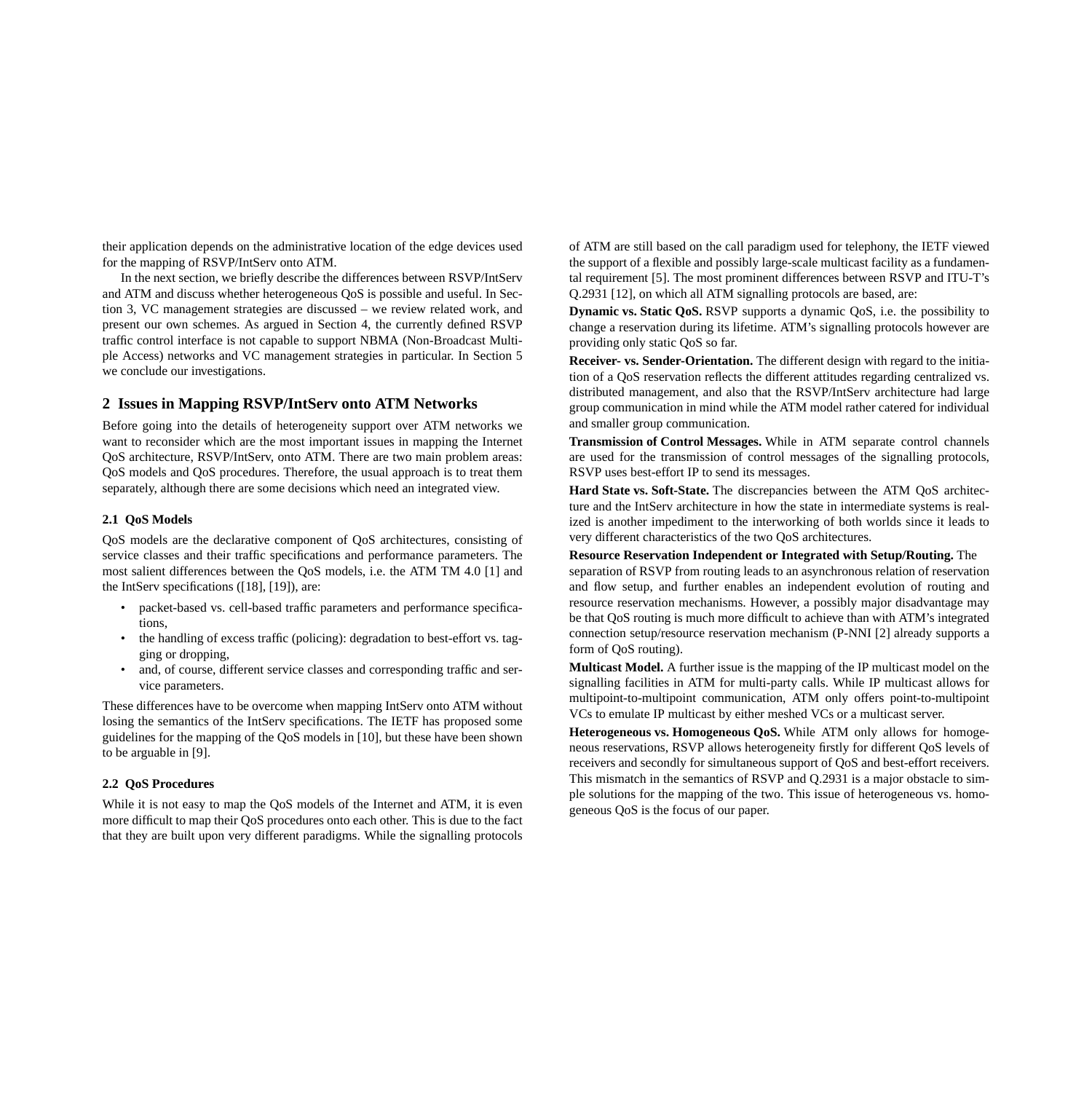<span id="page-1-0"></span>their application depends on the administrative location of the edge devices used for the mapping of RSVP/IntServ onto ATM.

In the next section, we briefly describe the differences between RSVP/IntServ and ATM and discuss whether heterogeneous QoS is possible and useful. In [Sec](#page-2-0)[tion](#page-2-0) 3, VC managemen<sup>t</sup> strategies are discussed – we review related work, and presen<sup>t</sup> our own schemes. As argued in [Section](#page-8-0) 4, the currently defined RSVP traffic control interface is not capable to suppor<sup>t</sup> NBMA (Non-Broadcast Multiple Access) networks and VC managemen<sup>t</sup> strategies in particular. In [Section](#page-9-0) 5 we conclude our investigations.

## **2 Issues in Mapping RSVP/IntServ onto ATM Networks**

Before going into the details of heterogeneity suppor<sup>t</sup> over ATM networks we want to reconsider which are the most important issues in mapping the Internet QoS architecture, RSVP/IntServ, onto ATM. There are two main problem areas: QoS models and QoS procedures. Therefore, the usual approach is to treat them separately, although there are some decisions which need an integrated view.

## **2.1 QoS Models**

QoS models are the declarative componen<sup>t</sup> of QoS architectures, consisting of service classes and their traffic specifications and performance parameters. The most salient differences between the QoS models, i.e. the ATM TM 4.0 [1] and the IntServ specifications ([18], [19]), are:

- packet-based vs. cell-based traffic parameters and performance specifications,
- the handling of excess traffic (policing): degradation to best-effort vs. tagging or dropping.
- and, of course, different service classes and corresponding traffic and service parameters.

These differences have to be overcome when mapping IntServ onto ATM without losing the semantics of the IntServ specifications. The IETF has proposed some guidelines for the mapping of the QoS models in [10], but these have been shown to be arguable in [9].

## **2.2 QoS Procedures**

While it is not easy to map the QoS models of the Internet and ATM, it is even more difficult to map their QoS procedures onto each other. This is due to the fact that they are built upon very different paradigms. While the signalling protocols

of ATM are still based on the call paradigm used for telephony, the IETF viewed the suppor<sup>t</sup> of <sup>a</sup> flexible and possibly large-scale multicast facility as <sup>a</sup> fundamental requirement [5]. The most prominent differences between RSVP and ITU-T's Q.2931 [12], on which all ATM signalling protocols are based, are:

**Dynamic vs. Static QoS.** RSVP supports a dynamic QoS, i.e. the possibility to change <sup>a</sup> reservation during its lifetime. ATM's signalling protocols however are providing only static QoS so far.

**Receiver- vs. Sender-Orientation.** The different design with regard to the initiation of <sup>a</sup> QoS reservation reflects the different attitudes regarding centralized vs. distributed management, and also that the RSVP/IntServ architecture had large group communication in mind while the ATM model rather catered for individual and smaller group communication.

**Transmission of Control Messages.** While in ATM separate control channels are used for the transmission of control messages of the signalling protocols, RSVP uses best-effort IP to send its messages.

**Hard State vs. Soft-State.** The discrepancies between the ATM QoS architecture and the IntServ architecture in how the state in intermediate systems is realized is another impediment to the interworking of both worlds since it leads to very different characteristics of the two QoS architectures.

**Resource Reservation Independent or Integrated with Setup/Routing.** The separation of RSVP from routing leads to an asynchronous relation of reservation and flow setup, and further enables an independent evolution of routing and resource reservation mechanisms. However, <sup>a</sup> possibly major disadvantage may be that QoS routing is much more difficult to achieve than with ATM's integrated connection setup/resource reservation mechanism (P-NNI [2] already supports <sup>a</sup> form of QoS routing).

**Multicast Model.** A further issue is the mapping of the IP multicast model on the signalling facilities in ATM for multi-party calls. While IP multicast allows for multipoint-to-multipoint communication, ATM only offers point-to-multipoint VCs to emulate IP multicast by either meshed VCs or a multicast server.

**Heterogeneous vs. Homogeneous QoS.** While ATM only allows for homogeneous reservations, RSVP allows heterogeneity firstly for different QoS levels of receivers and secondly for simultaneous suppor<sup>t</sup> of QoS and best-effort receivers. This mismatch in the semantics of RSVP and Q.2931 is <sup>a</sup> major obstacle to simple solutions for the mapping of the two. This issue of heterogeneous vs. homogeneous QoS is the focus of our paper.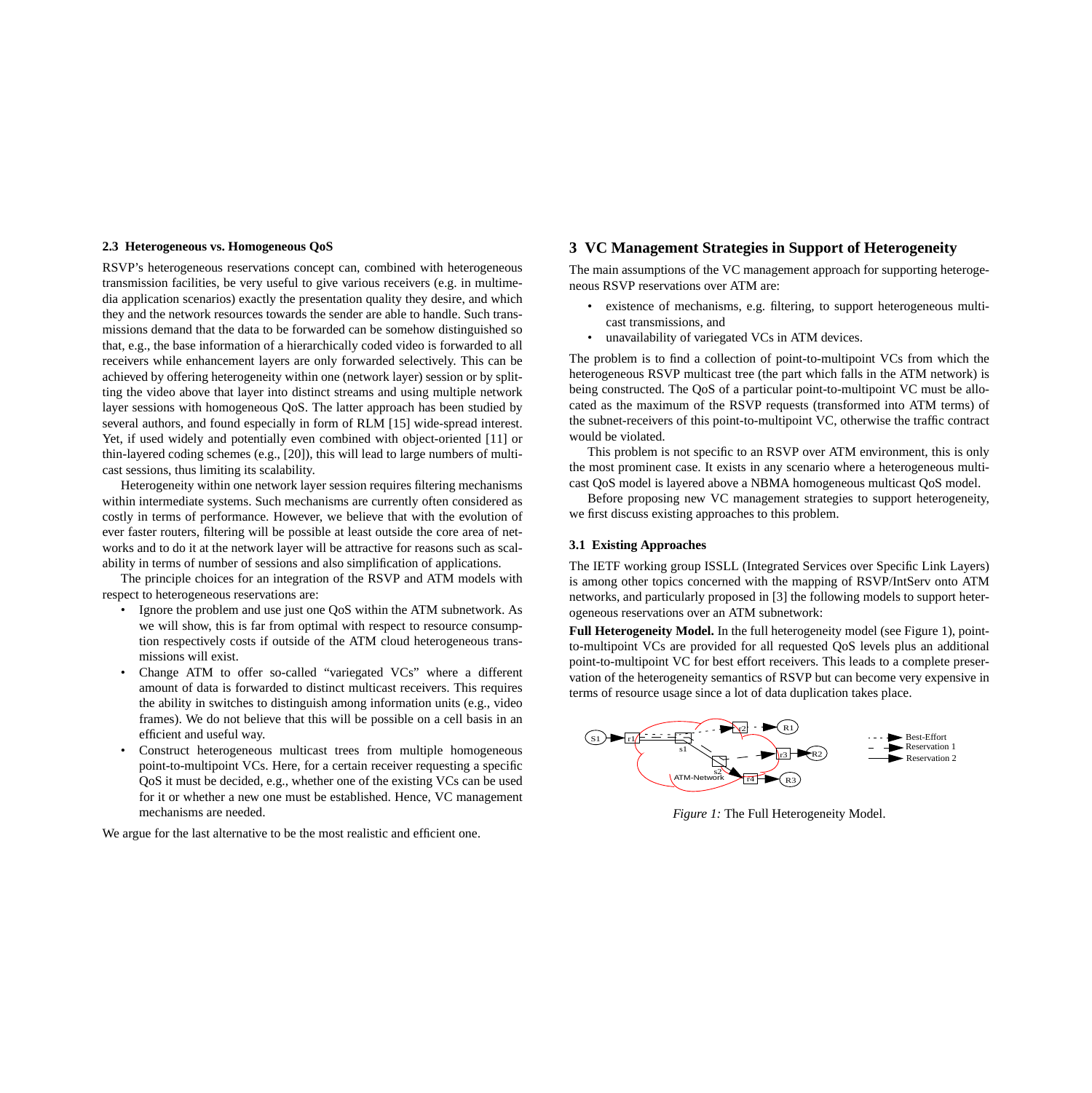### <span id="page-2-0"></span>**2.3 Heterogeneous vs. Homogeneous QoS**

RSVP's heterogeneous reservations concep<sup>t</sup> can, combined with heterogeneous transmission facilities, be very useful to give various receivers (e.g. in multimedia application scenarios) exactly the presentation quality they desire, and which they and the network resources towards the sender are able to handle. Such transmissions demand that the data to be forwarded can be somehow distinguished so that, e.g., the base information of <sup>a</sup> hierarchically coded video is forwarded to all receivers while enhancement layers are only forwarded selectively. This can be achieved by offering heterogeneity within one (network layer) session or by splitting the video above that layer into distinct streams and using multiple network layer sessions with homogeneous QoS. The latter approach has been studied by several authors, and found especially in form of RLM [15] wide-spread interest. Yet, if used widely and potentially even combined with object-oriented [11] or thin-layered coding schemes (e.g., [20]), this will lead to large numbers of multicast sessions, thus limiting its scalability.

Heterogeneity within one network layer session requires filtering mechanisms within intermediate systems. Such mechanisms are currently often considered as costly in terms of performance. However, we believe that with the evolution of ever faster routers, filtering will be possible at least outside the core area of networks and to do it at the network layer will be attractive for reasons such as scalability in terms of number of sessions and also simplification of applications.

The principle choices for an integration of the RSVP and ATM models with respect to heterogeneous reservations are:

- Ignore the problem and use just one QoS within the ATM subnetwork. As we will show, this is far from optimal with respec<sup>t</sup> to resource consumption respectively costs if outside of the ATM cloud heterogeneous transmissions will exist.
- • Change ATM to offer so-called "variegated VCs" where <sup>a</sup> different amount of data is forwarded to distinct multicast receivers. This requires the ability in switches to distinguish among information units (e.g., video frames). We do not believe that this will be possible on <sup>a</sup> cell basis in an efficient and useful way.
- Construct heterogeneous multicast trees from multiple homogeneous point-to-multipoint VCs. Here, for <sup>a</sup> certain receiver requesting <sup>a</sup> specific QoS it must be decided, e.g., whether one of the existing VCs can be used for it or whether <sup>a</sup> new one must be established. Hence, VC managemen<sup>t</sup> mechanisms are needed.

We argue for the last alternative to be the most realistic and efficient one.

## **3 VC Management Strategies in Support of Heterogeneity**

The main assumptions of the VC managemen<sup>t</sup> approach for supporting heterogeneous RSVP reservations over ATM are:

- existence of mechanisms, e.g. filtering, to suppor<sup>t</sup> heterogeneous multicast transmissions, and
- unavailability of variegated VCs in ATM devices.

The problem is to find <sup>a</sup> collection of point-to-multipoint VCs from which the heterogeneous RSVP multicast tree (the par<sup>t</sup> which falls in the ATM network) is being constructed. The QoS of <sup>a</sup> particular point-to-multipoint VC must be allocated as the maximum of the RSVP requests (transformed into ATM terms) of the subnet-receivers of this point-to-multipoint VC, otherwise the traffic contract would be violated.

This problem is not specific to an RSVP over ATM environment, this is only the most prominent case. It exists in any scenario where <sup>a</sup> heterogeneous multicast QoS model is layered above a NBMA homogeneous multicast QoS model.

Before proposing new VC managemen<sup>t</sup> strategies to suppor<sup>t</sup> heterogeneity, we first discuss existing approaches to this problem.

## **3.1 Existing Approaches**

The IETF working group ISSLL (Integrated Services over Specific Link Layers) is among other topics concerned with the mapping of RSVP/IntServ onto ATM networks, and particularly proposed in [3] the following models to suppor<sup>t</sup> heterogeneous reservations over an ATM subnetwork:

**Full Heterogeneity Model.** In the full heterogeneity model (see Figure 1), pointto-multipoint VCs are provided for all requested QoS levels plus an additional point-to-multipoint VC for best effort receivers. This leads to <sup>a</sup> complete preservation of the heterogeneity semantics of RSVP but can become very expensive in terms of resource usage since a lot of data duplication takes place.



*Figure 1:* The Full Heterogeneity Model.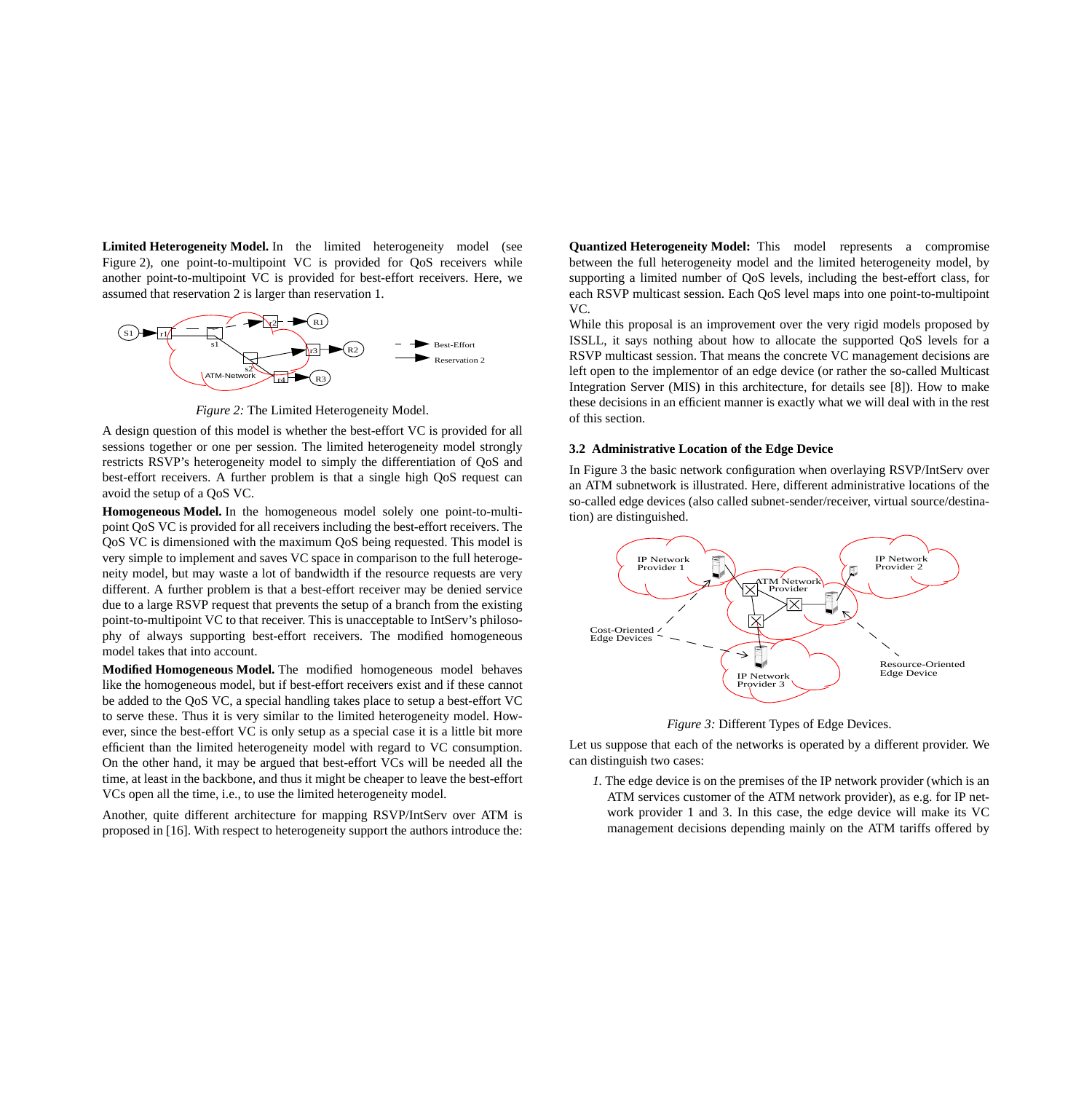**Limited Heterogeneity Model.** In the limited heterogeneity model (see Figure 2), one point-to-multipoint VC is provided for QoS receivers while another point-to-multipoint VC is provided for best-effort receivers. Here, we assumed that reservation 2 is larger than reservation 1.



*Figure 2:* The Limited Heterogeneity Model.

A design question of this model is whether the best-effort VC is provided for all sessions together or one per session. The limited heterogeneity model strongly restricts RSVP's heterogeneity model to simply the differentiation of QoS and best-effort receivers. A further problem is that <sup>a</sup> single high QoS reques<sup>t</sup> can avoid the setup of a QoS VC.

**Homogeneous Model.** In the homogeneous model solely one point-to-multipoint QoS VC is provided for all receivers including the best-effort receivers. The QoS VC is dimensioned with the maximum QoS being requested. This model is very simple to implement and saves VC space in comparison to the full heterogeneity model, but may waste <sup>a</sup> lot of bandwidth if the resource requests are very different. A further problem is that <sup>a</sup> best-effort receiver may be denied service due to <sup>a</sup> large RSVP reques<sup>t</sup> that prevents the setup of <sup>a</sup> branch from the existing point-to-multipoint VC to that receiver. This is unacceptable to IntServ's philosophy of always supporting best-effort receivers. The modified homogeneous model takes that into account.

**Modified Homogeneous Model.** The modified homogeneous model behaves like the homogeneous model, but if best-effort receivers exist and if these cannot be added to the QoS VC, <sup>a</sup> special handling takes place to setup <sup>a</sup> best-effort VC to serve these. Thus it is very similar to the limited heterogeneity model. However, since the best-effort VC is only setup as <sup>a</sup> special case it is <sup>a</sup> little bit more efficient than the limited heterogeneity model with regard to VC consumption. On the other hand, it may be argued that best-effort VCs will be needed all the time, at least in the backbone, and thus it might be cheaper to leave the best-effort VCs open all the time, i.e., to use the limited heterogeneity model.

Another, quite different architecture for mapping RSVP/IntServ over ATM is proposed in [16]. With respec<sup>t</sup> to heterogeneity suppor<sup>t</sup> the authors introduce the: **Quantized Heterogeneity Model:** This model represents <sup>a</sup> compromise between the full heterogeneity model and the limited heterogeneity model, by supporting <sup>a</sup> limited number of QoS levels, including the best-effort class, for each RSVP multicast session. Each QoS level maps into one point-to-multipoint VC.

While this proposal is an improvement over the very rigid models proposed by ISSLL, it says nothing about how to allocate the supported QoS levels for <sup>a</sup> RSVP multicast session. That means the concrete VC managemen<sup>t</sup> decisions are left open to the implementor of an edge device (or rather the so-called Multicast Integration Server (MIS) in this architecture, for details see [8]). How to make these decisions in an efficient manner is exactly what we will deal with in the rest of this section.

### **3.2 Administrative Location of the Edge Device**

In Figure 3 the basic network configuration when overlaying RSVP/IntServ over an ATM subnetwork is illustrated. Here, different administrative locations of the so-called edge devices (also called subnet-sender/receiver, virtual source/destination) are distinguished.



*Figure 3:* Different Types of Edge Devices.

Let us suppose that each of the networks is operated by <sup>a</sup> different provider. We can distinguish two cases:

*1.* The edge device is on the premises of the IP network provider (which is an ATM services customer of the ATM network provider), as e.g. for IP network provider 1 and 3. In this case, the edge device will make its VC managemen<sup>t</sup> decisions depending mainly on the ATM tariffs offered by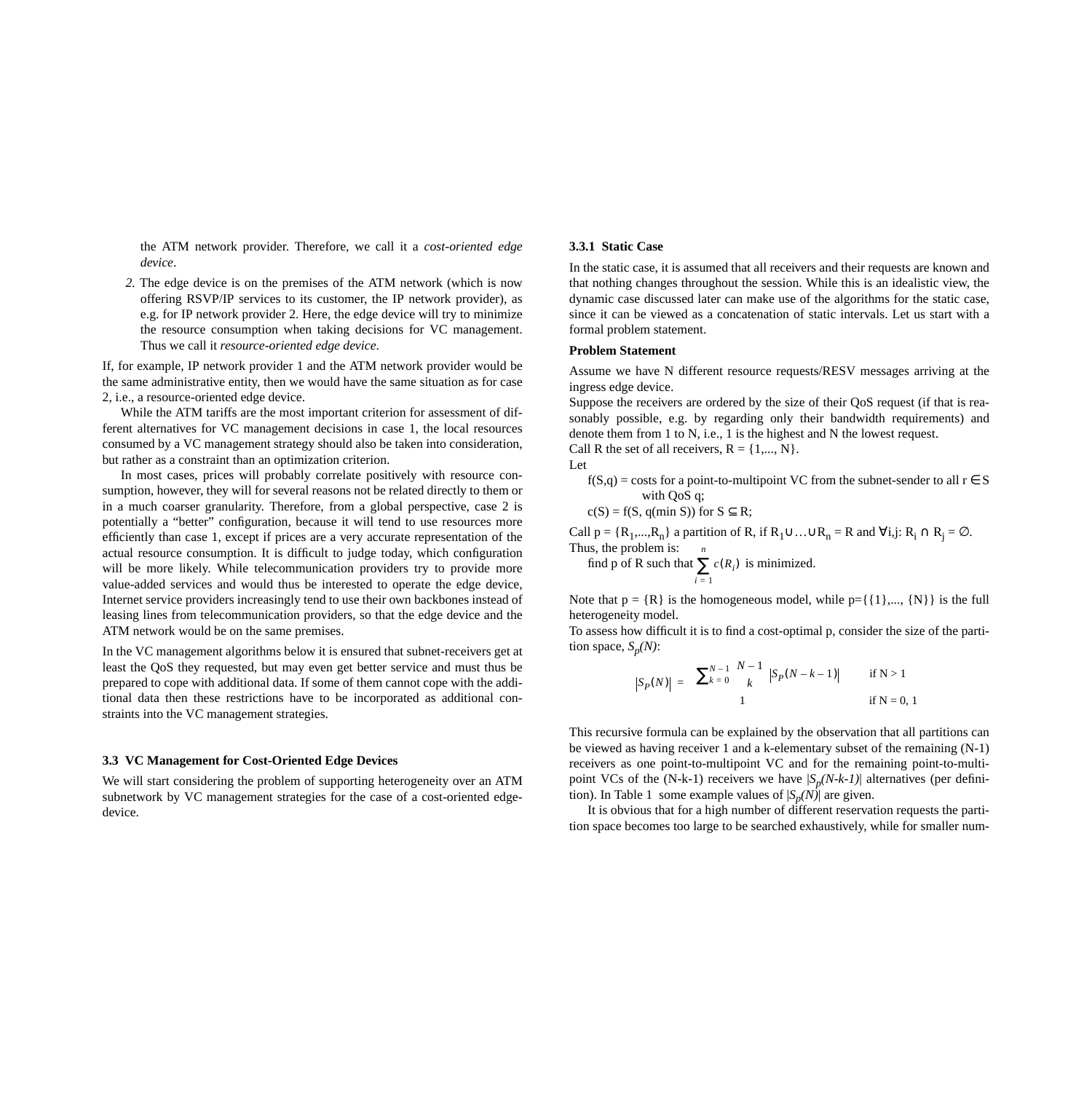the ATM network provider. Therefore, we call it <sup>a</sup> *cost-oriented edge device*.

*2.* The edge device is on the premises of the ATM network (which is now offering RSVP/IP services to its customer, the IP network provider), as e.g. for IP network provider 2. Here, the edge device will try to minimize the resource consumption when taking decisions for VC management. Thus we call it *resource-oriented edge device*.

If, for example, IP network provider 1 and the ATM network provider would be the same administrative entity, then we would have the same situation as for case 2, i.e., a resource-oriented edge device.

While the ATM tariffs are the most important criterion for assessment of different alternatives for VC managemen<sup>t</sup> decisions in case 1, the local resources consumed by <sup>a</sup> VC managemen<sup>t</sup> strategy should also be taken into consideration, but rather as a constraint than an optimization criterion.

In most cases, prices will probably correlate positively with resource consumption, however, they will for several reasons not be related directly to them or in <sup>a</sup> much coarser granularity. Therefore, from <sup>a</sup> global perspective, case 2 is potentially <sup>a</sup> "better" configuration, because it will tend to use resources more efficiently than case 1, excep<sup>t</sup> if prices are <sup>a</sup> very accurate representation of the actual resource consumption. It is difficult to judge today, which configuration will be more likely. While telecommunication providers try to provide more value-added services and would thus be interested to operate the edge device, Internet service providers increasingly tend to use their own backbones instead of leasing lines from telecommunication providers, so that the edge device and the ATM network would be on the same premises.

In the VC managemen<sup>t</sup> algorithms below it is ensured that subnet-receivers ge<sup>t</sup> at least the QoS they requested, but may even ge<sup>t</sup> better service and must thus be prepared to cope with additional data. If some of them cannot cope with the additional data then these restrictions have to be incorporated as additional constraints into the VC management strategies.

### **3.3 VC Management for Cost-Oriented Edge Devices**

We will start considering the problem of supporting heterogeneity over an ATM subnetwork by VC managemen<sup>t</sup> strategies for the case of <sup>a</sup> cost-oriented edgedevice.

### **3.3.1 Static Case**

In the static case, it is assumed that all receivers and their requests are known and that nothing changes throughout the session. While this is an idealistic view, the dynamic case discussed later can make use of the algorithms for the static case, since it can be viewed as <sup>a</sup> concatenation of static intervals. Let us start with <sup>a</sup> formal problem statement.

#### **Problem Statement**

Assume we have N different resource requests/RESV messages arriving at the ingress edge device.

Suppose the receivers are ordered by the size of their QoS reques<sup>t</sup> (if that is reasonably possible, e.g. by regarding only their bandwidth requirements) and denote them from 1 to N, i.e., 1 is the highest and N the lowest request.

Call R the set of all receivers,  $R = \{1,..., N\}$ .

Let

 $f(S,q) = \text{costs}$  for a point-to-multipoint VC from the subnet-sender to all  $r \in S$ with QoS q;

$$
c(S) = f(S, q(min S))
$$
 for  $S \subseteq R$ ;

Call  $p = \{R_1,...,R_n\}$  a partition of R, if  $R_1 \cup ... \cup R_n = R$  and  $\forall i, j$ :  $R_i \cap R_j = \emptyset$ . Thus, the problem is: *n*

find p of R such that  $\sum c(R_i)$  is minimized. *i* <sup>=</sup> 1 ∑

Note that  $p = \{R\}$  is the homogeneous model, while  $p = \{\{1\},..., \{N\}\}\$ is the full heterogeneity model.

To assess how difficult it is to find <sup>a</sup> cost-optimal p, consider the size of the partition space, *Sp(N)*:

$$
S_P(N)| = \begin{cases} \sum_{k=0}^{N-1} {N-1 \choose k} |S_P(N-k-1)| & \text{if } N > 1 \\ 1 & \text{if } N = 0, 1 \end{cases}
$$

This recursive formula can be explained by the observation that all partitions can be viewed as having receiver 1 and <sup>a</sup> k-elementary subset of the remaining (N-1) receivers as one point-to-multipoint VC and for the remaining point-to-multipoint VCs of the  $(N-k-1)$  receivers we have  $|S_p(N-k-1)|$  alternatives (per defini-tion). In [Table 1 s](#page-5-0)ome example values of  $|S_p(N)|$  are given.

It is obvious that for <sup>a</sup> high number of different reservation requests the partition space becomes too large to be searched exhaustively, while for smaller num-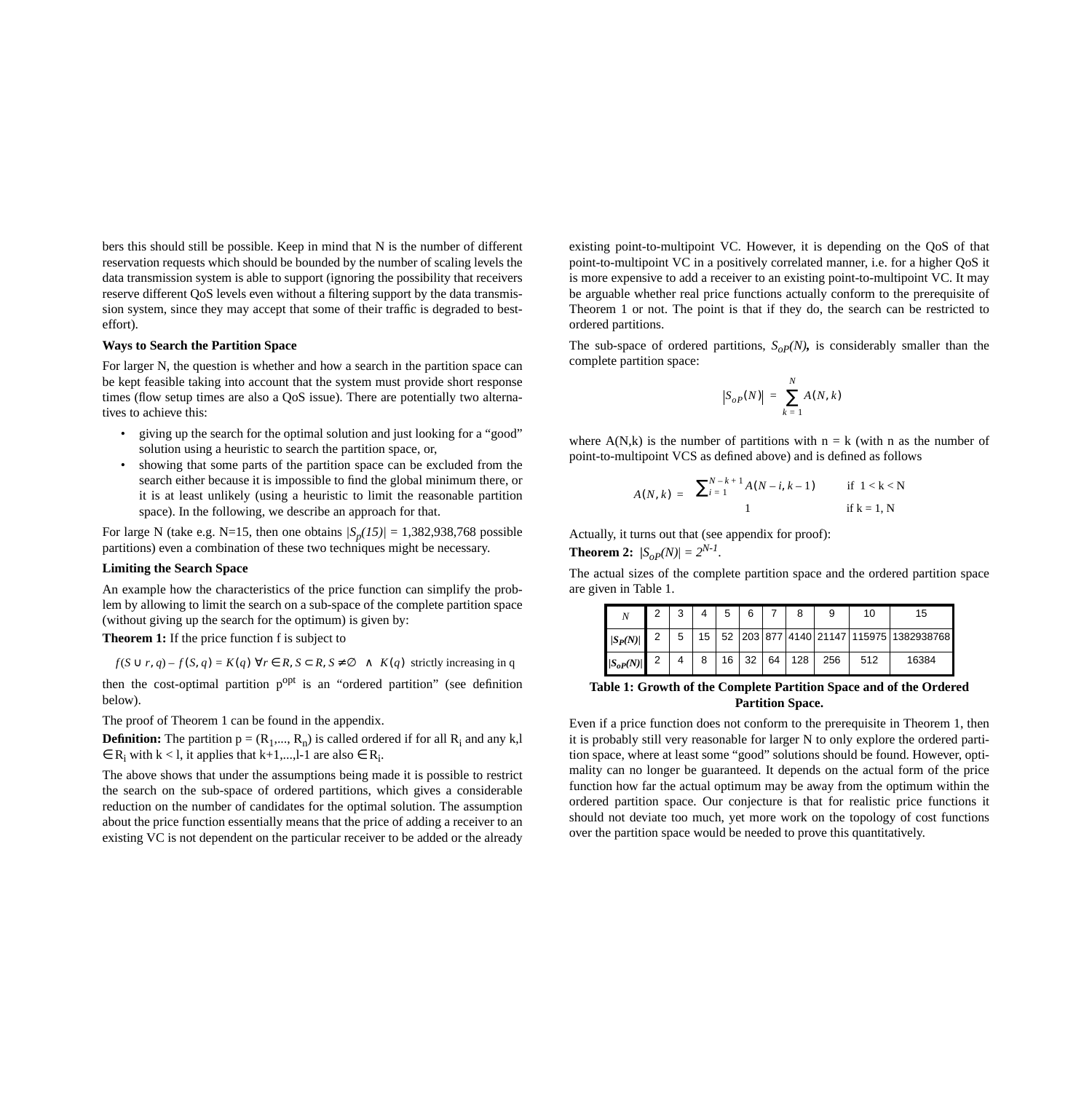<span id="page-5-0"></span>bers this should still be possible. Keep in mind that N is the number of different reservation requests which should be bounded by the number of scaling levels the data transmission system is able to suppor<sup>t</sup> (ignoring the possibility that receivers reserve different QoS levels even without <sup>a</sup> filtering suppor<sup>t</sup> by the data transmission system, since they may accep<sup>t</sup> that some of their traffic is degraded to besteffort).

### **Ways to Search the Partition Space**

For larger N, the question is whether and how <sup>a</sup> search in the partition space can be kept feasible taking into account that the system must provide short response times (flow setup times are also <sup>a</sup> QoS issue). There are potentially two alternatives to achieve this:

- • giving up the search for the optimal solution and just looking for <sup>a</sup> "good" solution using a heuristic to search the partition space, or,
- • showing that some parts of the partition space can be excluded from the search either because it is impossible to find the global minimum there, or it is at least unlikely (using <sup>a</sup> heuristic to limit the reasonable partition space). In the following, we describe an approach for that.

For large N (take e.g. N=15, then one obtains  $|S_n(15)| = 1,382,938,768$  possible partitions) even a combination of these two techniques might be necessary.

## **Limiting the Search Space**

An example how the characteristics of the price function can simplify the problem by allowing to limit the search on <sup>a</sup> sub-space of the complete partition space (without giving up the search for the optimum) is given by:

**Theorem 1:** If the price function f is subject to

 $f(S \cup r, q) - f(S, q) = K(q) \,\forall r \in R, S \subset R, S \neq \emptyset \land K(q)$  strictly increasing in q

then the cost-optimal partition  $p^{opt}$  is an "ordered partition" (see definition below).

The proof of Theorem 1 can be found in the appendix.

**Definition:** The partition  $p = (R_1, ..., R_n)$  is called ordered if for all  $R_i$  and any k,l  $\in R_i$  with  $k < l$ , it applies that  $k+1,...,l-1$  are also  $\in R_i$ .

The above shows that under the assumptions being made it is possible to restrict the search on the sub-space of ordered partitions, which gives <sup>a</sup> considerable reduction on the number of candidates for the optimal solution. The assumption about the price function essentially means that the price of adding <sup>a</sup> receiver to an existing VC is not dependent on the particular receiver to be added or the already existing point-to-multipoint VC. However, it is depending on the QoS of that point-to-multipoint VC in <sup>a</sup> positively correlated manner, i.e. for <sup>a</sup> higher QoS it is more expensive to add <sup>a</sup> receiver to an existing point-to-multipoint VC. It may be arguable whether real price functions actually conform to the prerequisite of Theorem 1 or not. The point is that if they do, the search can be restricted to ordered partitions.

The sub-space of ordered partitions,  $S_{\rho P}(N)$ *,* is considerably smaller than the complete partition space:

$$
\left|S_{oP}(N)\right| = \sum_{k=1}^{N} A(N,k)
$$

where  $A(N,k)$  is the number of partitions with  $n = k$  (with n as the number of point-to-multipoint VCS as defined above) and is defined as follows

$$
A(N,k) = \begin{cases} \sum_{i=1}^{N-k+1} A(N-i, k-1) & \text{if } 1 < k < N \\ 1 & \text{if } k = 1, N \end{cases}
$$

Actually, it turns out that (see appendix for proof):

**Theorem 2:**  $|S_{oP}(N)| = 2^{N-1}$ .

The actual sizes of the complete partition space and the ordered partition space are given in Table 1.

|               | າ | ົ |   | 5               | 6               |    |       |     | 10  | 15                                                       |
|---------------|---|---|---|-----------------|-----------------|----|-------|-----|-----|----------------------------------------------------------|
| $ S_P(N) $    | 2 | 5 |   |                 |                 |    |       |     |     | 15   52   203   877   4140   21147   115975   1382938768 |
| $ S_{oP}(N) $ |   |   | 8 | 16 <sup>1</sup> | 32 <sup>1</sup> | 64 | 128 l | 256 | 512 | 16384                                                    |

## **Table 1: Growth of the Complete Partition Space and of the Ordered Partition Space.**

Even if <sup>a</sup> price function does not conform to the prerequisite in Theorem 1, then it is probably still very reasonable for larger N to only explore the ordered partition space, where at least some "good" solutions should be found. However, optimality can no longer be guaranteed. It depends on the actual form of the price function how far the actual optimum may be away from the optimum within the ordered partition space. Our conjecture is that for realistic price functions it should not deviate too much, ye<sup>t</sup> more work on the topology of cost functions over the partition space would be needed to prove this quantitatively.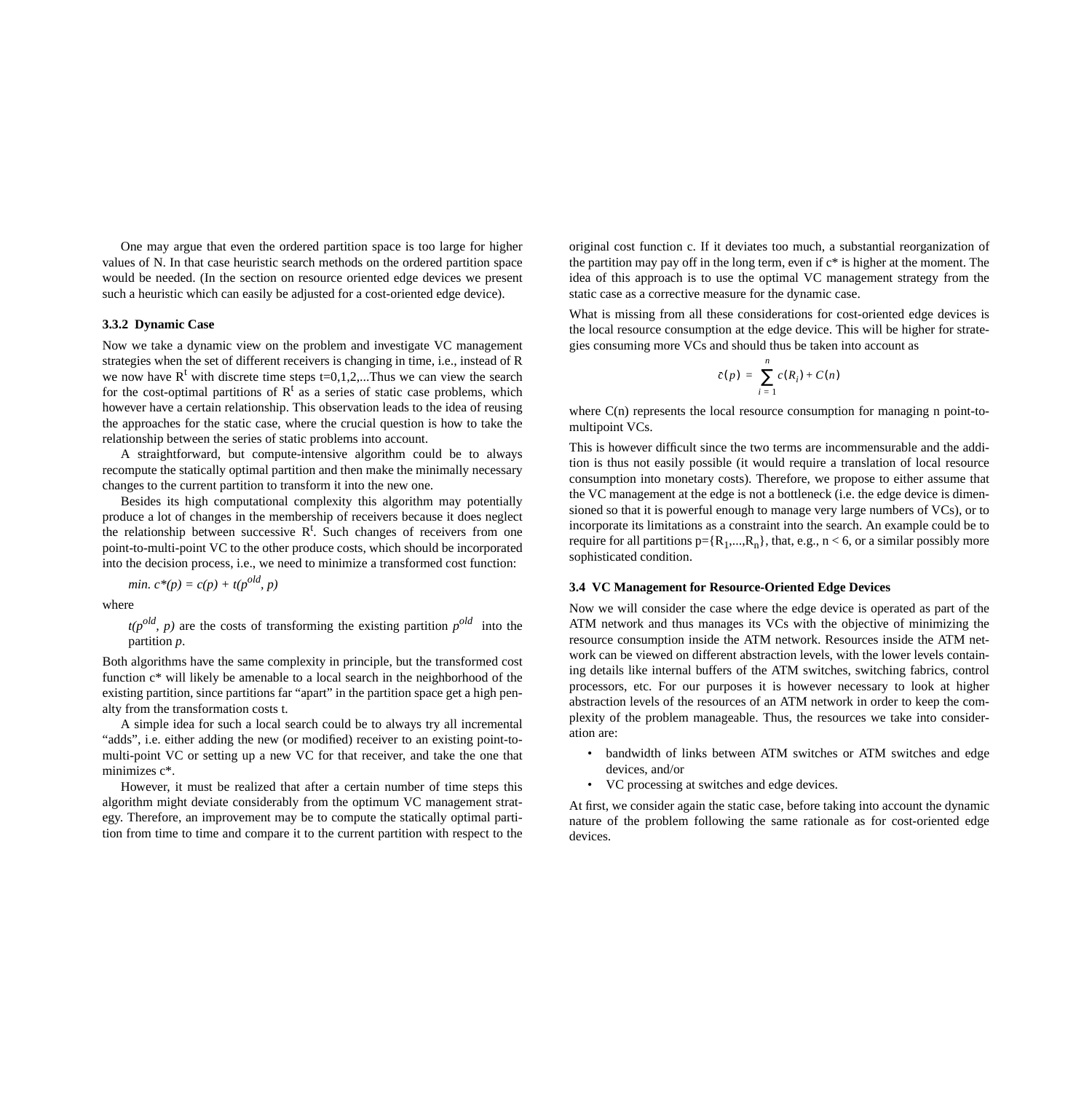One may argue that even the ordered partition space is too large for higher values of N. In that case heuristic search methods on the ordered partition space would be needed. (In the section on resource oriented edge devices we presen<sup>t</sup> such a heuristic which can easily be adjusted for a cost-oriented edge device).

### **3.3.2 Dynamic Case**

Now we take <sup>a</sup> dynamic view on the problem and investigate VC managemen<sup>t</sup> strategies when the set of different receivers is changing in time, i.e., instead of R we now have  $R^t$  with discrete time steps t=0,1,2,...Thus we can view the search for the cost-optimal partitions of  $R^t$  as a series of static case problems, which however have <sup>a</sup> certain relationship. This observation leads to the idea of reusing the approaches for the static case, where the crucial question is how to take the relationship between the series of static problems into account.

A straightforward, but compute-intensive algorithm could be to always recompute the statically optimal partition and then make the minimally necessary changes to the current partition to transform it into the new one.

Besides its high computational complexity this algorithm may potentially produce <sup>a</sup> lot of changes in the membership of receivers because it does neglect the relationship between successive  $R<sup>t</sup>$ . Such changes of receivers from one point-to-multi-point VC to the other produce costs, which should be incorporated into the decision process, i.e., we need to minimize a transformed cost function:

*min.*  $c^*(p) = c(p) + t(p^{old}, p)$ 

where

*t(pold, p)* are the costs of transforming the existing partition *<sup>p</sup>old* into the partition *p*.

Both algorithms have the same complexity in principle, but the transformed cost function  $c^*$  will likely be amenable to a local search in the neighborhood of the existing partition, since partitions far "apart" in the partition space ge<sup>t</sup> <sup>a</sup> high penalty from the transformation costs t.

A simple idea for such <sup>a</sup> local search could be to always try all incremental "adds", i.e. either adding the new (or modified) receiver to an existing point-tomulti-point VC or setting up <sup>a</sup> new VC for that receiver, and take the one that minimizes c\*.

However, it must be realized that after <sup>a</sup> certain number of time steps this algorithm might deviate considerably from the optimum VC managemen<sup>t</sup> strategy. Therefore, an improvement may be to compute the statically optimal partition from time to time and compare it to the current partition with respec<sup>t</sup> to the

original cost function c. If it deviates too much, <sup>a</sup> substantial reorganization of the partition may pay off in the long term, even if  $c^*$  is higher at the moment. The idea of this approach is to use the optimal VC managemen<sup>t</sup> strategy from the static case as a corrective measure for the dynamic case.

What is missing from all these considerations for cost-oriented edge devices is the local resource consumption at the edge device. This will be higher for strategies consuming more VCs and should thus be taken into account as

$$
\bar{c}(p) = \sum_{i=1}^{n} c(R_i) + C(n)
$$

where C(n) represents the local resource consumption for managing n point-tomultipoint VCs.

This is however difficult since the two terms are incommensurable and the addition is thus not easily possible (it would require <sup>a</sup> translation of local resource consumption into monetary costs). Therefore, we propose to either assume that the VC managemen<sup>t</sup> at the edge is not <sup>a</sup> bottleneck (i.e. the edge device is dimensioned so that it is powerful enough to manage very large numbers of VCs), or to incorporate its limitations as <sup>a</sup> constraint into the search. An example could be to require for all partitions  $p = \{R_1,...,R_n\}$ , that, e.g.,  $n < 6$ , or a similar possibly more sophisticated condition.

#### **3.4 VC Management for Resource-Oriented Edge Devices**

Now we will consider the case where the edge device is operated as par<sup>t</sup> of the ATM network and thus manages its VCs with the objective of minimizing the resource consumption inside the ATM network. Resources inside the ATM network can be viewed on different abstraction levels, with the lower levels containing details like internal buffers of the ATM switches, switching fabrics, control processors, etc. For our purposes it is however necessary to look at higher abstraction levels of the resources of an ATM network in order to keep the complexity of the problem manageable. Thus, the resources we take into consideration are:

- bandwidth of links between ATM switches or ATM switches and edge devices, and/or
- VC processing at switches and edge devices.

At first, we consider again the static case, before taking into account the dynamic nature of the problem following the same rationale as for cost-oriented edge devices.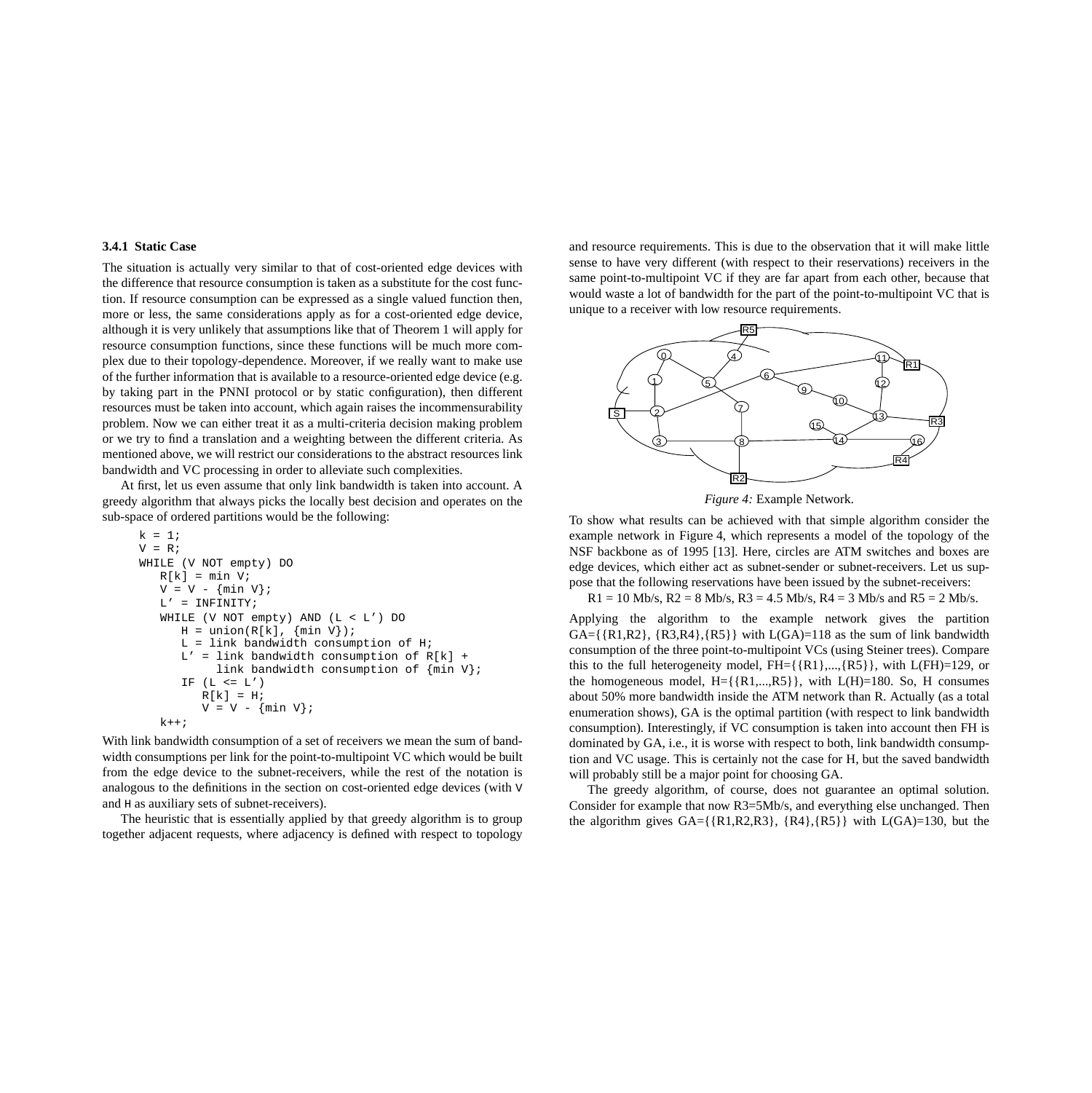#### **3.4.1 Static Case**

The situation is actually very similar to that of cost-oriented edge devices with the difference that resource consumption is taken as <sup>a</sup> substitute for the cost function. If resource consumption can be expressed as <sup>a</sup> single valued function then, more or less, the same considerations apply as for <sup>a</sup> cost-oriented edge device, although it is very unlikely that assumptions like that of Theorem 1 will apply for resource consumption functions, since these functions will be much more complex due to their topology-dependence. Moreover, if we really want to make use of the further information that is available to <sup>a</sup> resource-oriented edge device (e.g. by taking par<sup>t</sup> in the PNNI protocol or by static configuration), then different resources must be taken into account, which again raises the incommensurability problem. Now we can either treat it as <sup>a</sup> multi-criteria decision making problem or we try to find <sup>a</sup> translation and <sup>a</sup> weighting between the different criteria. As mentioned above, we will restrict our considerations to the abstract resources link bandwidth and VC processing in order to alleviate such complexities.

At first, let us even assume that only link bandwidth is taken into account. A greedy algorithm that always picks the locally best decision and operates on the sub-space of ordered partitions would be the following:

```
k = 1;V = R:
WHILE (V NOT empty) DO
   R[k] = min V;V = V - \{min V\};L' = TNFINTTY;
   WHILE (V NOT empty) AND (L < L') DO
      H = union(R[k], {min V});
      L = link bandwidth consumption of H;
      L' = link bandwidth consumption of R[k] +
           link bandwidth consumption of {min V};
     IF (L \leq L')R[k] = H;
         V = V - \{min V\};k++;
```
With link bandwidth consumption of <sup>a</sup> set of receivers we mean the sum of bandwidth consumptions per link for the point-to-multipoint VC which would be built from the edge device to the subnet-receivers, while the rest of the notation is analogous to the definitions in the section on cost-oriented edge devices (with V and <sup>H</sup> as auxiliary sets of subnet-receivers).

The heuristic that is essentially applied by that greedy algorithm is to group together adjacent requests, where adjacency is defined with respec<sup>t</sup> to topology and resource requirements. This is due to the observation that it will make little sense to have very different (with respec<sup>t</sup> to their reservations) receivers in the same point-to-multipoint VC if they are far apar<sup>t</sup> from each other, because that would waste <sup>a</sup> lot of bandwidth for the par<sup>t</sup> of the point-to-multipoint VC that is unique to a receiver with low resource requirements.



*Figure 4:* Example Network.

To show what results can be achieved with that simple algorithm consider the example network in Figure 4, which represents <sup>a</sup> model of the topology of the NSF backbone as of 1995 [13]. Here, circles are ATM switches and boxes are edge devices, which either act as subnet-sender or subnet-receivers. Let us suppose that the following reservations have been issued by the subnet-receivers:

 $R1 = 10$  Mb/s,  $R2 = 8$  Mb/s,  $R3 = 4.5$  Mb/s,  $R4 = 3$  Mb/s and  $R5 = 2$  Mb/s.

Applying the algorithm to the example network gives the partition  $GA={R1,R2}, {R3,R4},{R5}$  with  $L(GA)=118$  as the sum of link bandwidth consumption of the three point-to-multipoint VCs (using Steiner trees). Compare this to the full heterogeneity model,  $FH=\{R1\},..., \{R5\}\}\,$ , with  $L(FH)=129$ , or the homogeneous model,  $H = \{R1, ..., R5\}$ , with  $L(H) = 180$ . So, H consumes about 50% more bandwidth inside the ATM network than R. Actually (as <sup>a</sup> total enumeration shows), GA is the optimal partition (with respec<sup>t</sup> to link bandwidth consumption). Interestingly, if VC consumption is taken into account then FH is dominated by GA, i.e., it is worse with respec<sup>t</sup> to both, link bandwidth consumption and VC usage. This is certainly not the case for H, but the saved bandwidth will probably still be a major point for choosing GA.

The greedy algorithm, of course, does not guarantee an optimal solution. Consider for example that now R3=5Mb/s, and everything else unchanged. Then the algorithm gives  $GA = \{ R1, R2, R3 \}, \{ R4 \}, \{ R5 \} \}$  with  $L(GA) = 130$ , but the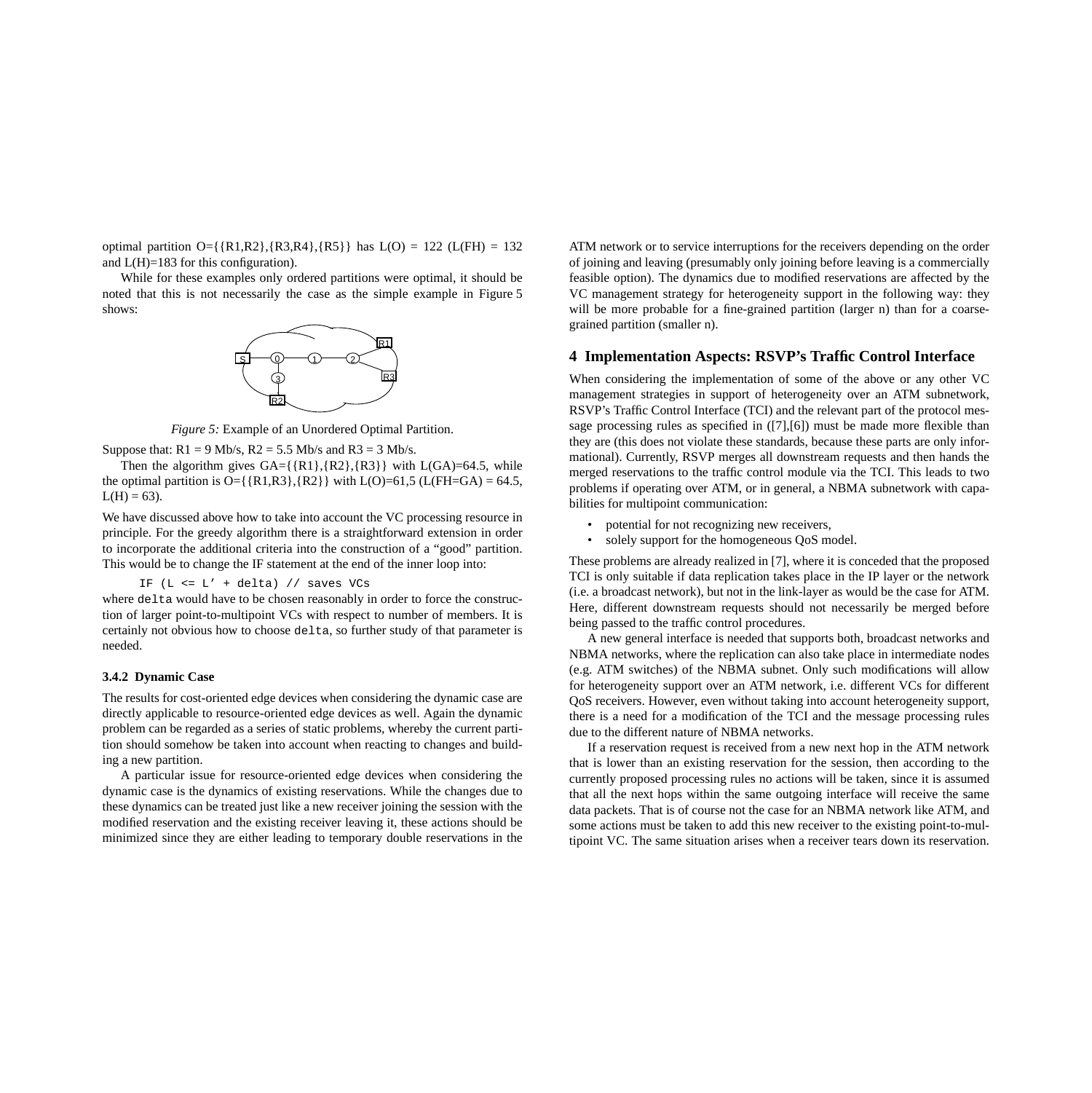<span id="page-8-0"></span>optimal partition  $O = {\{R1,R2\}, {R3,R4\}, {R5}}$  has  $L(O) = 122$  (L(FH) = 132 and L(H)=183 for this configuration).

While for these examples only ordered partitions were optimal, it should be noted that this is not necessarily the case as the simple example in Figure 5 shows:



*Figure 5:* Example of an Unordered Optimal Partition.

Suppose that:  $R1 = 9$  Mb/s,  $R2 = 5.5$  Mb/s and  $R3 = 3$  Mb/s.

Then the algorithm gives  $GA = \{R1\}, \{R2\}, \{R3\}\}\$  with  $L(GA)=64.5$ , while the optimal partition is  $O = \{ R1, R3\}$ ,  $\{R2\}$  with  $L(O) = 61.5$  (L(FH=GA) = 64.5,  $L(H) = 63$ ).

We have discussed above how to take into account the VC processing resource in principle. For the greedy algorithm there is <sup>a</sup> straightforward extension in order to incorporate the additional criteria into the construction of <sup>a</sup> "good" partition. This would be to change the IF statement at the end of the inner loop into:

```
IF (L \le L' + delta) // saves VCs
```
where delta would have to be chosen reasonably in order to force the construction of larger point-to-multipoint VCs with respec<sup>t</sup> to number of members. It is certainly not obvious how to choose delta, so further study of that parameter is needed.

#### **3.4.2 Dynamic Case**

The results for cost-oriented edge devices when considering the dynamic case are directly applicable to resource-oriented edge devices as well. Again the dynamic problem can be regarded as <sup>a</sup> series of static problems, whereby the current partition should somehow be taken into account when reacting to changes and building a new partition.

A particular issue for resource-oriented edge devices when considering the dynamic case is the dynamics of existing reservations. While the changes due to these dynamics can be treated just like <sup>a</sup> new receiver joining the session with the modified reservation and the existing receiver leaving it, these actions should be minimized since they are either leading to temporary double reservations in the

ATM network or to service interruptions for the receivers depending on the order of joining and leaving (presumably only joining before leaving is <sup>a</sup> commercially feasible option). The dynamics due to modified reservations are affected by the VC managemen<sup>t</sup> strategy for heterogeneity suppor<sup>t</sup> in the following way: they will be more probable for a fine-grained partition (larger n) than for a coarsegrained partition (smaller n).

## **4 Implementation Aspects: RSVP's Traffic Control Interface**

When considering the implementation of some of the above or any other VC managemen<sup>t</sup> strategies in suppor<sup>t</sup> of heterogeneity over an ATM subnetwork, RSVP's Traffic Control Interface (TCI) and the relevant par<sup>t</sup> of the protocol message processing rules as specified in ([7],[6]) must be made more flexible than they are (this does not violate these standards, because these parts are only informational). Currently, RSVP merges all downstream requests and then hands the merged reservations to the traffic control module via the TCI. This leads to two problems if operating over ATM, or in general, <sup>a</sup> NBMA subnetwork with capabilities for multipoint communication:

- potential for not recognizing new receivers,
- solely support for the homogeneous QoS model.

These problems are already realized in [7], where it is conceded that the proposed TCI is only suitable if data replication takes place in the IP layer or the network (i.e. <sup>a</sup> broadcast network), but not in the link-layer as would be the case for ATM. Here, different downstream requests should not necessarily be merged before being passed to the traffic control procedures.

A new general interface is needed that supports both, broadcast networks and NBMA networks, where the replication can also take place in intermediate nodes (e.g. ATM switches) of the NBMA subnet. Only such modifications will allow for heterogeneity suppor<sup>t</sup> over an ATM network, i.e. different VCs for different QoS receivers. However, even without taking into account heterogeneity support, there is <sup>a</sup> need for <sup>a</sup> modification of the TCI and the message processing rules due to the different nature of NBMA networks.

If <sup>a</sup> reservation reques<sup>t</sup> is received from <sup>a</sup> new next hop in the ATM network that is lower than an existing reservation for the session, then according to the currently proposed processing rules no actions will be taken, since it is assumed that all the next hops within the same outgoing interface will receive the same data packets. That is of course not the case for an NBMA network like ATM, and some actions must be taken to add this new receiver to the existing point-to-multipoint VC. The same situation arises when <sup>a</sup> receiver tears down its reservation.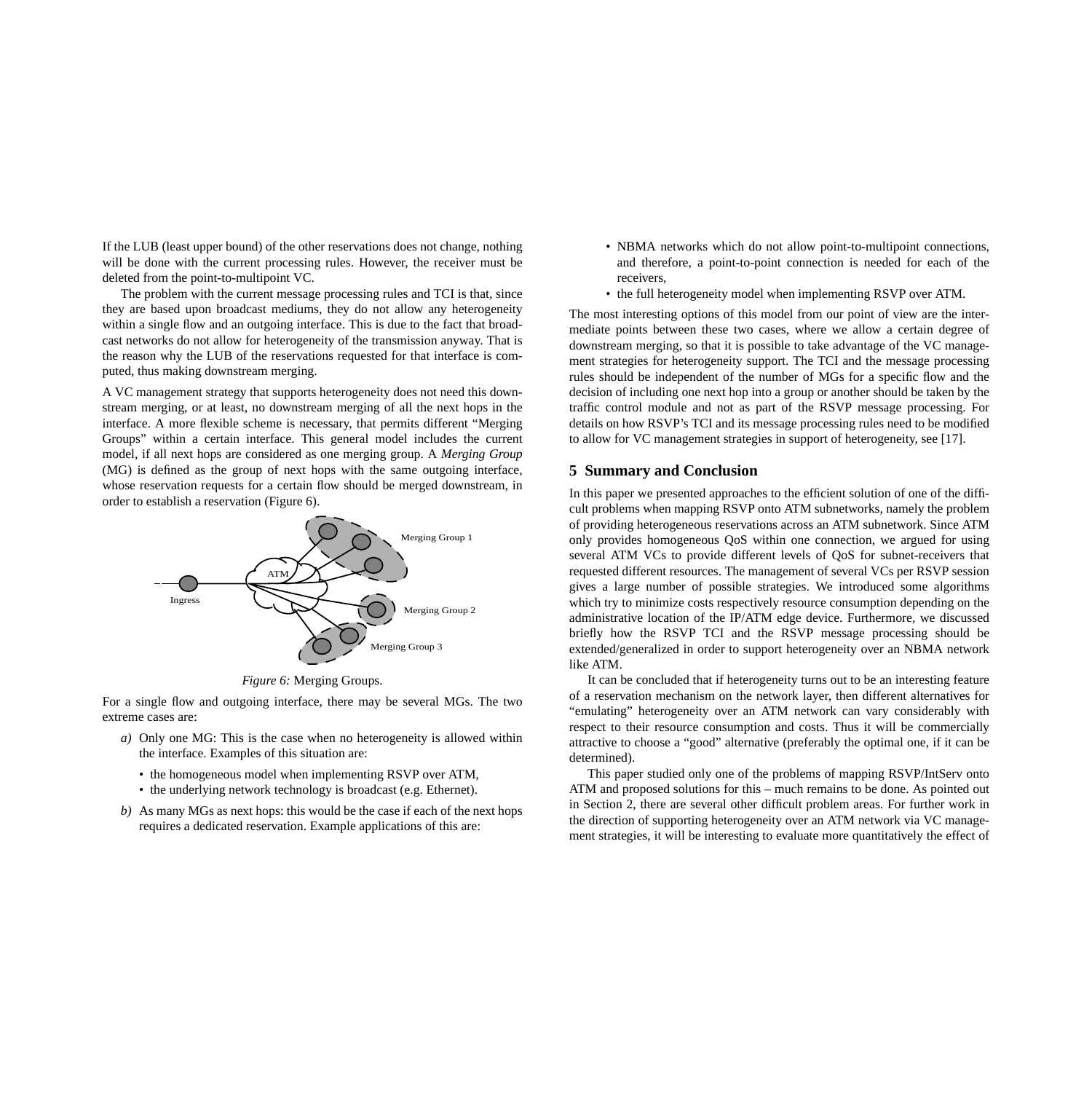<span id="page-9-0"></span>If the LUB (least upper bound) of the other reservations does not change, nothing will be done with the current processing rules. However, the receiver must be deleted from the point-to-multipoint VC.

The problem with the current message processing rules and TCI is that, since they are based upon broadcast mediums, they do not allow any heterogeneity within a single flow and an outgoing interface. This is due to the fact that broadcast networks do not allow for heterogeneity of the transmission anyway. That is the reason why the LUB of the reservations requested for that interface is computed, thus making downstream merging.

A VC managemen<sup>t</sup> strategy that supports heterogeneity does not need this downstream merging, or at least, no downstream merging of all the next hops in the interface. A more flexible scheme is necessary, that permits different "Merging Groups" within <sup>a</sup> certain interface. This general model includes the current model, if all next hops are considered as one merging group. A *Merging Group* (MG) is defined as the group of next hops with the same outgoing interface, whose reservation requests for <sup>a</sup> certain flow should be merged downstream, in order to establish a reservation (Figure 6).



*Figure 6:* Merging Groups.

For <sup>a</sup> single flow and outgoing interface, there may be several MGs. The two extreme cases are:

- *a)* Only one MG: This is the case when no heterogeneity is allowed within the interface. Examples of this situation are:
	- the homogeneous model when implementing RSVP over ATM,
	- the underlying network technology is broadcast (e.g. Ethernet).
- *b)* As many MGs as next hops: this would be the case if each of the next hops requires a dedicated reservation. Example applications of this are:
- NBMA networks which do not allow point-to-multipoint connections, and therefore, <sup>a</sup> point-to-point connection is needed for each of the receivers,
- the full heterogeneity model when implementing RSVP over ATM.

The most interesting options of this model from our point of view are the intermediate points between these two cases, where we allow <sup>a</sup> certain degree of downstream merging, so that it is possible to take advantage of the VC management strategies for heterogeneity support. The TCI and the message processing rules should be independent of the number of MGs for <sup>a</sup> specific flow and the decision of including one next hop into <sup>a</sup> group or another should be taken by the traffic control module and not as par<sup>t</sup> of the RSVP message processing. For details on how RSVP's TCI and its message processing rules need to be modified to allow for VC management strategies in support of heterogeneity, see [17].

## **5 Summary and Conclusion**

In this paper we presented approaches to the efficient solution of one of the difficult problems when mapping RSVP onto ATM subnetworks, namely the problem of providing heterogeneous reservations across an ATM subnetwork. Since ATM only provides homogeneous QoS within one connection, we argued for using several ATM VCs to provide different levels of QoS for subnet-receivers that requested different resources. The managemen<sup>t</sup> of several VCs per RSVP session gives <sup>a</sup> large number of possible strategies. We introduced some algorithms which try to minimize costs respectively resource consumption depending on the administrative location of the IP/ATM edge device. Furthermore, we discussed briefly how the RSVP TCI and the RSVP message processing should be extended/generalized in order to suppor<sup>t</sup> heterogeneity over an NBMA network like ATM.

It can be concluded that if heterogeneity turns out to be an interesting feature of <sup>a</sup> reservation mechanism on the network layer, then different alternatives for "emulating" heterogeneity over an ATM network can vary considerably with respec<sup>t</sup> to their resource consumption and costs. Thus it will be commercially attractive to choose <sup>a</sup> "good" alternative (preferably the optimal one, if it can be determined).

This paper studied only one of the problems of mapping RSVP/IntServ onto ATM and proposed solutions for this – much remains to be done. As pointed out in [Section](#page-1-0) 2, there are several other difficult problem areas. For further work in the direction of supporting heterogeneity over an ATM network via VC management strategies, it will be interesting to evaluate more quantitatively the effect of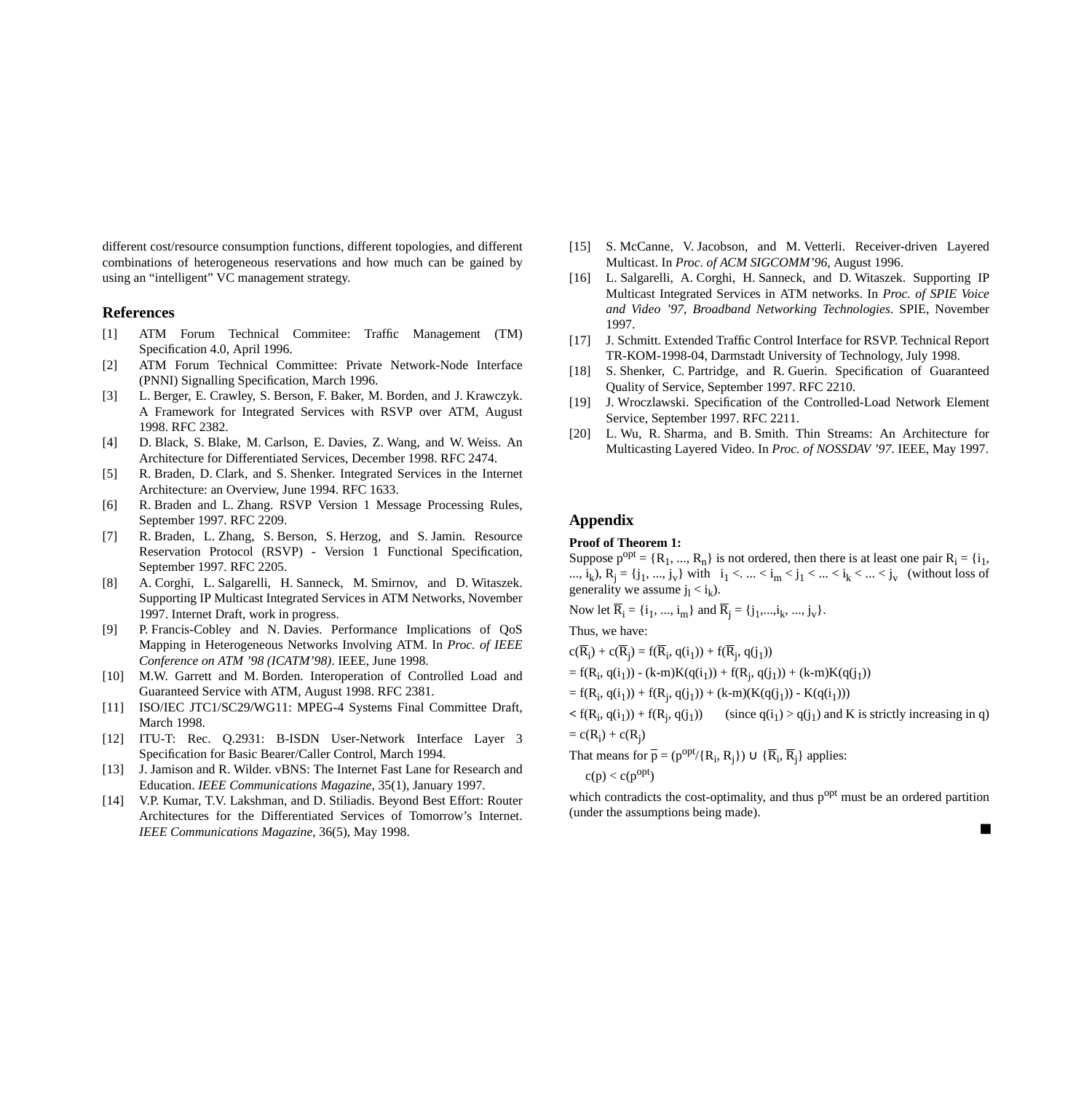different cost/resource consumption functions, different topologies, and different combinations of heterogeneous reservations and how much can be gained by using an "intelligent" VC management strategy.

## **References**

- [1] ATM Forum Technical Commitee: Traffic Management (TM) Specification 4.0, April 1996.
- [2] ATM Forum Technical Committee: Private Network-Node Interface (PNNI) Signalling Specification, March 1996.
- [3] L. Berger, E. Crawley, S. Berson, F. Baker, M. Borden, and J. Krawczyk. A Framework for Integrated Services with RSVP over ATM, August 1998. RFC 2382.
- [4] D. Black, S. Blake, M. Carlson, E. Davies, Z. Wang, and W. Weiss. An Architecture for Differentiated Services, December 1998. RFC 2474.
- [5] R. Braden, D. Clark, and S. Shenker. Integrated Services in the Internet Architecture: an Overview, June 1994. RFC 1633.
- [6] R. Braden and L. Zhang. RSVP Version 1 Message Processing Rules, September 1997. RFC 2209.
- [7] R. Braden, L. Zhang, S. Berson, S. Herzog, and S. Jamin. Resource Reservation Protocol (RSVP) - Version 1 Functional Specification, September 1997. RFC 2205.
- [8] A. Corghi, L. Salgarelli, H. Sanneck, M. Smirnov, and D. Witaszek. Supporting IP Multicast Integrated Services in ATM Networks, November 1997. Internet Draft, work in progress.
- [9] P. Francis-Cobley and N. Davies. Performance Implications of QoS Mapping in Heterogeneous Networks Involving ATM. In *Proc. of IEEE Conference on ATM '98 (ICATM'98)*. IEEE, June 1998.
- [10] M.W. Garrett and M. Borden. Interoperation of Controlled Load and Guaranteed Service with ATM, August 1998. RFC 2381.
- [11] ISO/IEC JTC1/SC29/WG11: MPEG-4 Systems Final Committee Draft, March 1998.
- [12] ITU-T: Rec. Q.2931: B-ISDN User-Network Interface Layer 3 Specification for Basic Bearer/Caller Control, March 1994.
- [13] J. Jamison and R. Wilder. vBNS: The Internet Fast Lane for Research and Education. *IEEE Communications Magazine*, 35(1), January 1997.
- [14] V.P. Kumar, T.V. Lakshman, and D. Stiliadis. Beyond Best Effort: Router Architectures for the Differentiated Services of Tomorrow's Internet. *IEEE Communications Magazine*, 36(5), May 1998.
- [15] S. McCanne, V. Jacobson, and M. Vetterli. Receiver-driven Layered Multicast. In *Proc. of ACM SIGCOMM'96*, August 1996.
- [16] L. Salgarelli, A. Corghi, H. Sanneck, and D. Witaszek. Supporting IP Multicast Integrated Services in ATM networks. In *Proc. of SPIE Voice and Video '97, Broadband Networking Technologies*. SPIE, November 1997.
- [17] J. Schmitt. Extended Traffic Control Interface for RSVP. Technical Report TR-KOM-1998-04, Darmstadt University of Technology, July 1998.
- [18] S. Shenker, C. Partridge, and R. Guerin. Specification of Guaranteed Quality of Service, September 1997. RFC 2210.
- [19] J. Wroczlawski. Specification of the Controlled-Load Network Element Service, September 1997. RFC 2211.
- [20] L. Wu, R. Sharma, and B. Smith. Thin Streams: An Architecture for Multicasting Layered Video. In *Proc. of NOSSDAV '97*. IEEE, May 1997.

## **Appendix**

### **Proof of Theorem 1:**

Suppose  $p^{opt} = \{R_1, ..., R_n\}$  is not ordered, then there is at least one pair  $R_i = \{i_1, ..., k_n\}$ ...,  $i_k$ ),  $R_j = \{j_1, ..., j_v\}$  with  $i_1 < ... < i_m < j_1 < ... < i_k < ... < j_v$  (without loss of generality we assume  $j_1 < i_k$ ).

Now let  $R_i = \{i_1, ..., i_m\}$  and  $R_j = \{j_1, ..., i_k, ..., j_v\}$ .

Thus, we have:

$$
c(R_i) + c(R_j) = f(R_i, q(i_1)) + f(R_j, q(j_1))
$$
  
= f(R\_i, q(i\_1)) - (k-m)K(q(i\_1)) + f(R\_j, q(j\_1)) + (k-m)K(q(j\_1))  
= f(R\_i, q(i\_1)) + f(R\_j, q(j\_1)) + (k-m)(K(q(j\_1)) - K(q(i\_1)))  
< f(R\_i, q(i\_1)) + f(R\_j, q(j\_1)) (since q(i\_1) > q(j\_1) and K is strictly increasing in q)  
= c(R\_i) + c(R\_j)  
That means for  $\bar{p} = (p^{opt}/R_i, R_j) \cup {\bar{R}_i, \bar{R}_j}$  applies:  
 $c(p) < c(p^{opt})$   
which contradicts the cost-optimality, and thus  $p^{opt}$  must be an ordered partition

(under the assumptions being made).